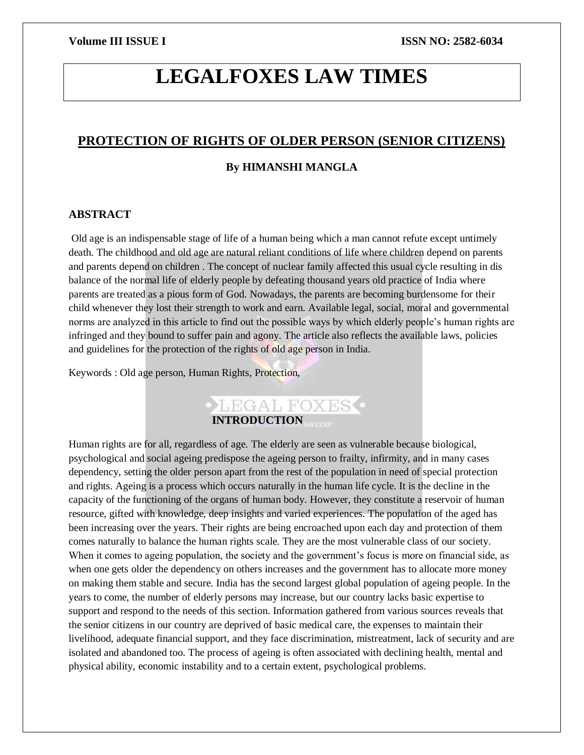# **LEGALFOXES LAW TIMES**

### **PROTECTION OF RIGHTS OF OLDER PERSON (SENIOR CITIZENS)**

#### **By HIMANSHI MANGLA**

#### **ABSTRACT**

Old age is an indispensable stage of life of a human being which a man cannot refute except untimely death. The childhood and old age are natural reliant conditions of life where children depend on parents and parents depend on children . The concept of nuclear family affected this usual cycle resulting in dis balance of the normal life of elderly people by defeating thousand years old practice of India where parents are treated as a pious form of God. Nowadays, the parents are becoming burdensome for their child whenever they lost their strength to work and earn. Available legal, social, moral and governmental norms are analyzed in this article to find out the possible ways by which elderly people's human rights are infringed and they bound to suffer pain and agony. The article also reflects the available laws, policies and guidelines for the protection of the rights of old age person in India.

Keywords : Old age person, Human Rights, Protection,



Human rights are for all, regardless of age. The elderly are seen as vulnerable because biological, psychological and social ageing predispose the ageing person to frailty, infirmity, and in many cases dependency, setting the older person apart from the rest of the population in need of special protection and rights. Ageing is a process which occurs naturally in the human life cycle. It is the decline in the capacity of the functioning of the organs of human body. However, they constitute a reservoir of human resource, gifted with knowledge, deep insights and varied experiences. The population of the aged has been increasing over the years. Their rights are being encroached upon each day and protection of them comes naturally to balance the human rights scale. They are the most vulnerable class of our society. When it comes to ageing population, the society and the government's focus is more on financial side, as when one gets older the dependency on others increases and the government has to allocate more money on making them stable and secure. India has the second largest global population of ageing people. In the years to come, the number of elderly persons may increase, but our country lacks basic expertise to support and respond to the needs of this section. Information gathered from various sources reveals that the senior citizens in our country are deprived of basic medical care, the expenses to maintain their livelihood, adequate financial support, and they face discrimination, mistreatment, lack of security and are isolated and abandoned too. The process of ageing is often associated with declining health, mental and physical ability, economic instability and to a certain extent, psychological problems.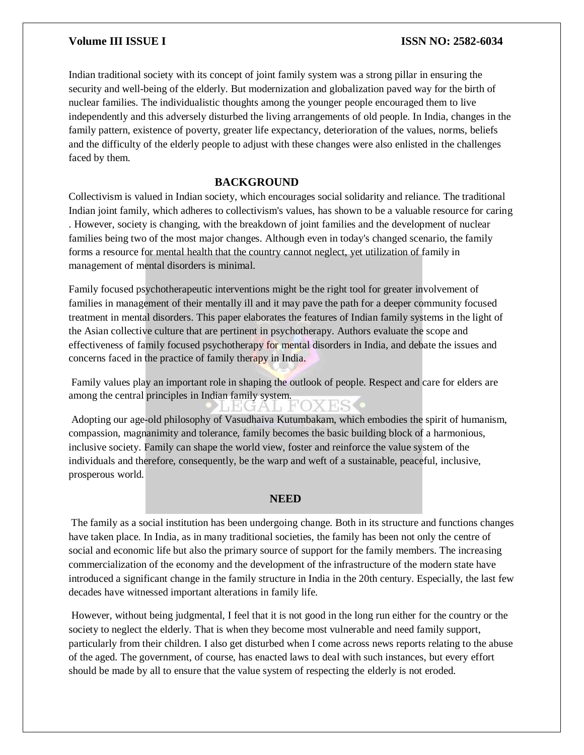Indian traditional society with its concept of joint family system was a strong pillar in ensuring the security and well-being of the elderly. But modernization and globalization paved way for the birth of nuclear families. The individualistic thoughts among the younger people encouraged them to live independently and this adversely disturbed the living arrangements of old people. In India, changes in the family pattern, existence of poverty, greater life expectancy, deterioration of the values, norms, beliefs and the difficulty of the elderly people to adjust with these changes were also enlisted in the challenges faced by them.

#### **BACKGROUND**

Collectivism is valued in Indian society, which encourages social solidarity and reliance. The traditional Indian joint family, which adheres to collectivism's values, has shown to be a valuable resource for caring . However, society is changing, with the breakdown of joint families and the development of nuclear families being two of the most major changes. Although even in today's changed scenario, the family forms a resource for mental health that the country cannot neglect, yet utilization of family in management of mental disorders is minimal.

Family focused psychotherapeutic interventions might be the right tool for greater involvement of families in management of their mentally ill and it may pave the path for a deeper community focused treatment in mental disorders. This paper elaborates the features of Indian family systems in the light of the Asian collective culture that are pertinent in psychotherapy. Authors evaluate the scope and effectiveness of family focused psychotherapy for mental disorders in India, and debate the issues and concerns faced in the practice of family therapy in India.

Family values play an important role in shaping the outlook of people. Respect and care for elders are among the central principles in Indian family system.

HGA L

Adopting our age-old philosophy of Vasudhaiva Kutumbakam, which embodies the spirit of humanism, compassion, magnanimity and tolerance, family becomes the basic building block of a harmonious, inclusive society. Family can shape the world view, foster and reinforce the value system of the individuals and therefore, consequently, be the warp and weft of a sustainable, peaceful, inclusive, prosperous world.

#### **NEED**

The family as a social institution has been undergoing change. Both in its structure and functions changes have taken place. In India, as in many traditional societies, the family has been not only the centre of social and economic life but also the primary source of support for the family members. The increasing commercialization of the economy and the development of the infrastructure of the modern state have introduced a significant change in the family structure in India in the 20th century. Especially, the last few decades have witnessed important alterations in family life.

However, without being judgmental, I feel that it is not good in the long run either for the country or the society to neglect the elderly. That is when they become most vulnerable and need family support, particularly from their children. I also get disturbed when I come across news reports relating to the abuse of the aged. The government, of course, has enacted laws to deal with such instances, but every effort should be made by all to ensure that the value system of respecting the elderly is not eroded.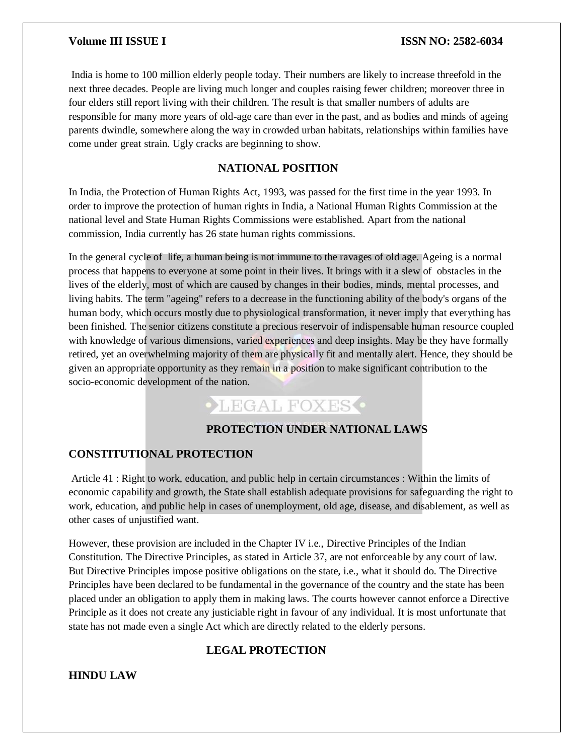India is home to 100 million elderly people today. Their numbers are likely to increase threefold in the next three decades. People are living much longer and couples raising fewer children; moreover three in four elders still report living with their children. The result is that smaller numbers of adults are responsible for many more years of old-age care than ever in the past, and as bodies and minds of ageing parents dwindle, somewhere along the way in crowded urban habitats, relationships within families have come under great strain. Ugly cracks are beginning to show.

### **NATIONAL POSITION**

In India, the Protection of Human Rights Act, 1993, was passed for the first time in the year 1993. In order to improve the protection of human rights in India, a National Human Rights Commission at the national level and State Human Rights Commissions were established. Apart from the national commission, India currently has 26 state human rights commissions.

In the general cycle of life, a human being is not immune to the ravages of old age. Ageing is a normal process that happens to everyone at some point in their lives. It brings with it a slew of obstacles in the lives of the elderly, most of which are caused by changes in their bodies, minds, mental processes, and living habits. The term "ageing" refers to a decrease in the functioning ability of the body's organs of the human body, which occurs mostly due to physiological transformation, it never imply that everything has been finished. The senior citizens constitute a precious reservoir of indispensable human resource coupled with knowledge of various dimensions, varied experiences and deep insights. May be they have formally retired, yet an overwhelming majority of them are physically fit and mentally alert. Hence, they should be given an appropriate opportunity as they remain in a position to make significant contribution to the socio-economic development of the nation.

## **CLEGAL FOXES**

#### **PROTECTION UNDER NATIONAL LAWS**

#### **CONSTITUTIONAL PROTECTION**

Article 41 : Right to work, education, and public help in certain circumstances : Within the limits of economic capability and growth, the State shall establish adequate provisions for safeguarding the right to work, education, and public help in cases of unemployment, old age, disease, and disablement, as well as other cases of unjustified want.

However, these provision are included in the Chapter IV i.e., Directive Principles of the Indian Constitution. The Directive Principles, as stated in Article 37, are not enforceable by any court of law. But Directive Principles impose positive obligations on the state, i.e., what it should do. The Directive Principles have been declared to be fundamental in the governance of the country and the state has been placed under an obligation to apply them in making laws. The courts however cannot enforce a Directive Principle as it does not create any justiciable right in favour of any individual. It is most unfortunate that state has not made even a single Act which are directly related to the elderly persons.

#### **LEGAL PROTECTION**

#### **HINDU LAW**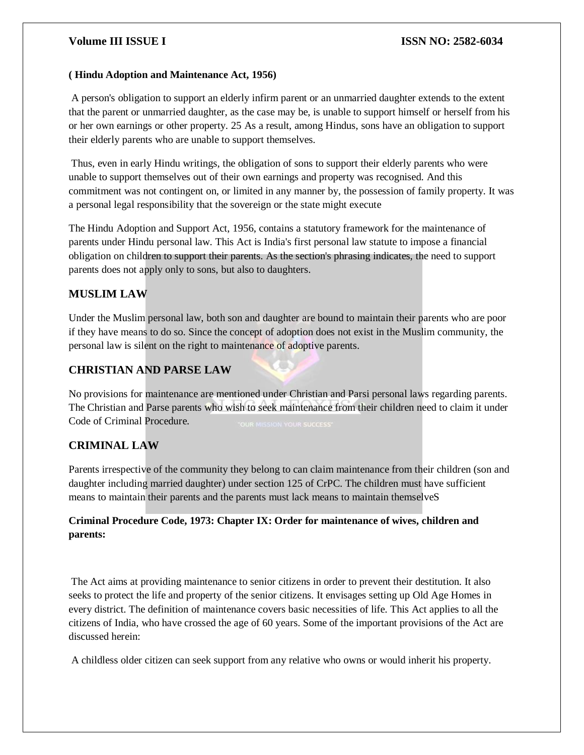#### **( Hindu Adoption and Maintenance Act, 1956)**

A person's obligation to support an elderly infirm parent or an unmarried daughter extends to the extent that the parent or unmarried daughter, as the case may be, is unable to support himself or herself from his or her own earnings or other property. 25 As a result, among Hindus, sons have an obligation to support their elderly parents who are unable to support themselves.

Thus, even in early Hindu writings, the obligation of sons to support their elderly parents who were unable to support themselves out of their own earnings and property was recognised. And this commitment was not contingent on, or limited in any manner by, the possession of family property. It was a personal legal responsibility that the sovereign or the state might execute

The Hindu Adoption and Support Act, 1956, contains a statutory framework for the maintenance of parents under Hindu personal law. This Act is India's first personal law statute to impose a financial obligation on children to support their parents. As the section's phrasing indicates, the need to support parents does not apply only to sons, but also to daughters.

#### **MUSLIM LAW**

Under the Muslim personal law, both son and daughter are bound to maintain their parents who are poor if they have means to do so. Since the concept of adoption does not exist in the Muslim community, the personal law is silent on the right to maintenance of adoptive parents.

### **CHRISTIAN AND PARSE LAW**

No provisions for maintenance are mentioned under Christian and Parsi personal laws regarding parents. The Christian and Parse parents who wish to seek maintenance from their children need to claim it under Code of Criminal Procedure.

### **CRIMINAL LAW**

Parents irrespective of the community they belong to can claim maintenance from their children (son and daughter including married daughter) under section 125 of CrPC. The children must have sufficient means to maintain their parents and the parents must lack means to maintain themselveS

### **Criminal Procedure Code, 1973: Chapter IX: Order for maintenance of wives, children and parents:**

The Act aims at providing maintenance to senior citizens in order to prevent their destitution. It also seeks to protect the life and property of the senior citizens. It envisages setting up Old Age Homes in every district. The definition of maintenance covers basic necessities of life. This Act applies to all the citizens of India, who have crossed the age of 60 years. Some of the important provisions of the Act are discussed herein:

A childless older citizen can seek support from any relative who owns or would inherit his property.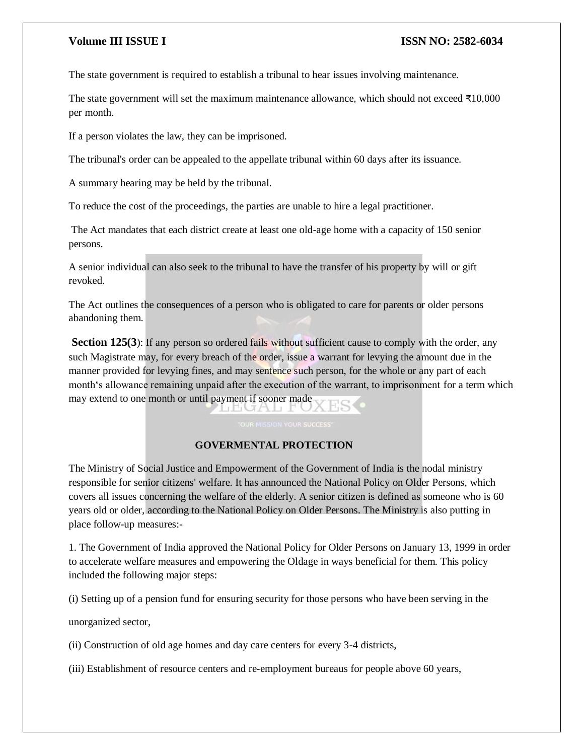The state government is required to establish a tribunal to hear issues involving maintenance.

The state government will set the maximum maintenance allowance, which should not exceed ₹10,000 per month.

If a person violates the law, they can be imprisoned.

The tribunal's order can be appealed to the appellate tribunal within 60 days after its issuance.

A summary hearing may be held by the tribunal.

To reduce the cost of the proceedings, the parties are unable to hire a legal practitioner.

The Act mandates that each district create at least one old-age home with a capacity of 150 senior persons.

A senior individual can also seek to the tribunal to have the transfer of his property by will or gift revoked.

The Act outlines the consequences of a person who is obligated to care for parents or older persons abandoning them.

**Section 125(3)**: If any person so ordered fails without sufficient cause to comply with the order, any such Magistrate may, for every breach of the order, issue a warrant for levying the amount due in the manner provided for levying fines, and may sentence such person, for the whole or any part of each month's allowance remaining unpaid after the execution of the warrant, to imprisonment for a term which may extend to one month or until payment if sooner made LEGAL FO2

#### **GOVERMENTAL PROTECTION**

The Ministry of Social Justice and Empowerment of the Government of India is the nodal ministry responsible for senior citizens' welfare. It has announced the National Policy on Older Persons, which covers all issues concerning the welfare of the elderly. A senior citizen is defined as someone who is 60 years old or older, according to the National Policy on Older Persons. The Ministry is also putting in place follow-up measures:-

1. The Government of India approved the National Policy for Older Persons on January 13, 1999 in order to accelerate welfare measures and empowering the Oldage in ways beneficial for them. This policy included the following major steps:

(i) Setting up of a pension fund for ensuring security for those persons who have been serving in the

unorganized sector,

(ii) Construction of old age homes and day care centers for every 3-4 districts,

(iii) Establishment of resource centers and re-employment bureaus for people above 60 years,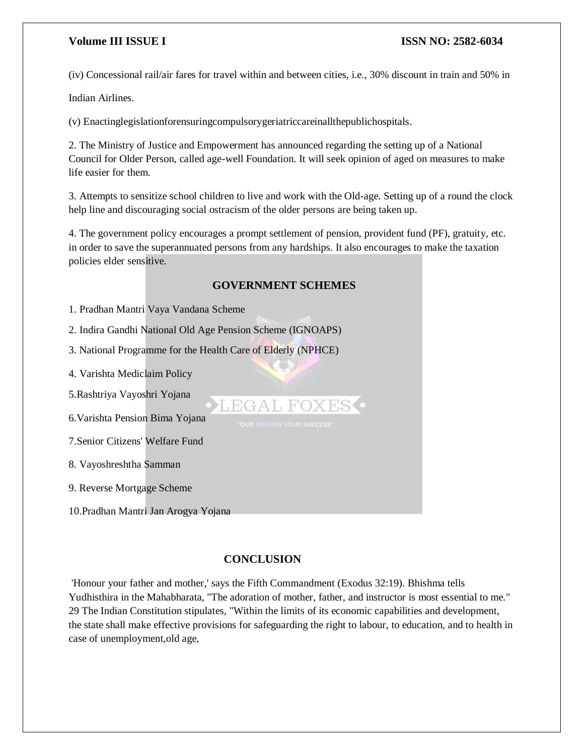(iv) Concessional rail/air fares for travel within and between cities, i.e., 30% discount in train and 50% in

Indian Airlines.

(v) Enactinglegislationforensuringcompulsorygeriatriccareinallthepublichospitals.

2. The Ministry of Justice and Empowerment has announced regarding the setting up of a National Council for Older Person, called age-well Foundation. It will seek opinion of aged on measures to make life easier for them.

3. Attempts to sensitize school children to live and work with the Old-age. Setting up of a round the clock help line and discouraging social ostracism of the older persons are being taken up.

4. The government policy encourages a prompt settlement of pension, provident fund (PF), gratuity, etc. in order to save the superannuated persons from any hardships. It also encourages to make the taxation policies elder sensitive.

#### **GOVERNMENT SCHEMES**

LEGAL FOXES .

1. Pradhan Mantri Vaya Vandana Scheme

2. Indira Gandhi National Old Age Pension Scheme (IGNOAPS)

3. National Programme for the Health Care of Elderly (NPHCE)

4. Varishta Mediclaim Policy

5.Rashtriya Vayoshri Yojana

6.Varishta Pension Bima Yojana

7.Senior Citizens' Welfare Fund

8. Vayoshreshtha Samman

9. Reverse Mortgage Scheme

10.Pradhan Mantri Jan Arogya Yojana

#### **CONCLUSION**

'Honour your father and mother,' says the Fifth Commandment (Exodus 32:19). Bhishma tells Yudhisthira in the Mahabharata, "The adoration of mother, father, and instructor is most essential to me." 29 The Indian Constitution stipulates, "Within the limits of its economic capabilities and development, the state shall make effective provisions for safeguarding the right to labour, to education, and to health in case of unemployment,old age,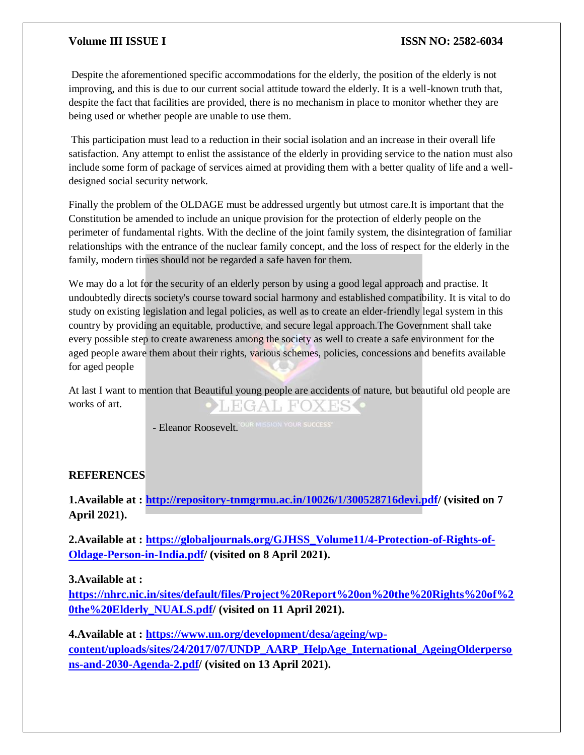Despite the aforementioned specific accommodations for the elderly, the position of the elderly is not improving, and this is due to our current social attitude toward the elderly. It is a well-known truth that, despite the fact that facilities are provided, there is no mechanism in place to monitor whether they are being used or whether people are unable to use them.

This participation must lead to a reduction in their social isolation and an increase in their overall life satisfaction. Any attempt to enlist the assistance of the elderly in providing service to the nation must also include some form of package of services aimed at providing them with a better quality of life and a welldesigned social security network.

Finally the problem of the OLDAGE must be addressed urgently but utmost care.It is important that the Constitution be amended to include an unique provision for the protection of elderly people on the perimeter of fundamental rights. With the decline of the joint family system, the disintegration of familiar relationships with the entrance of the nuclear family concept, and the loss of respect for the elderly in the family, modern times should not be regarded a safe haven for them.

We may do a lot for the security of an elderly person by using a good legal approach and practise. It undoubtedly directs society's course toward social harmony and established compatibility. It is vital to do study on existing legislation and legal policies, as well as to create an elder-friendly legal system in this country by providing an equitable, productive, and secure legal approach.The Government shall take every possible step to create awareness among the society as well to create a safe environment for the aged people aware them about their rights, various schemes, policies, concessions and benefits available for aged people

At last I want to mention that Beautiful young people are accidents of nature, but beautiful old people are works of art. **EGAL FOXES** 

- Eleanor Roosevelt. OUR MISSION YOUR SUCCESS

#### **REFERENCES**

**1.Available at : [http://repository-tnmgrmu.ac.in/10026/1/300528716devi.pdf/](http://repository-tnmgrmu.ac.in/10026/1/300528716devi.pdf) (visited on 7 April 2021).**

**2.Available at : [https://globaljournals.org/GJHSS\\_Volume11/4-Protection-of-Rights-of-](https://globaljournals.org/GJHSS_Volume11/4-Protection-of-Rights-of-Oldage-Person-in-India.pdf)[Oldage-Person-in-India.pdf/](https://globaljournals.org/GJHSS_Volume11/4-Protection-of-Rights-of-Oldage-Person-in-India.pdf) (visited on 8 April 2021).**

**3.Available at :** 

**[https://nhrc.nic.in/sites/default/files/Project%20Report%20on%20the%20Rights%20of%2](https://nhrc.nic.in/sites/default/files/Project%20Report%20on%20the%20Rights%20of%20the%20Elderly_NUALS.pdf) [0the%20Elderly\\_NUALS.pdf/](https://nhrc.nic.in/sites/default/files/Project%20Report%20on%20the%20Rights%20of%20the%20Elderly_NUALS.pdf) (visited on 11 April 2021).**

**4.Available at : [https://www.un.org/development/desa/ageing/wp](https://www.un.org/development/desa/ageing/wp-content/uploads/sites/24/2017/07/UNDP_AARP_HelpAge_International_AgeingOlderpersons-and-2030-Agenda-2.pdf)[content/uploads/sites/24/2017/07/UNDP\\_AARP\\_HelpAge\\_International\\_AgeingOlderperso](https://www.un.org/development/desa/ageing/wp-content/uploads/sites/24/2017/07/UNDP_AARP_HelpAge_International_AgeingOlderpersons-and-2030-Agenda-2.pdf) [ns-and-2030-Agenda-2.pdf/](https://www.un.org/development/desa/ageing/wp-content/uploads/sites/24/2017/07/UNDP_AARP_HelpAge_International_AgeingOlderpersons-and-2030-Agenda-2.pdf) (visited on 13 April 2021).**